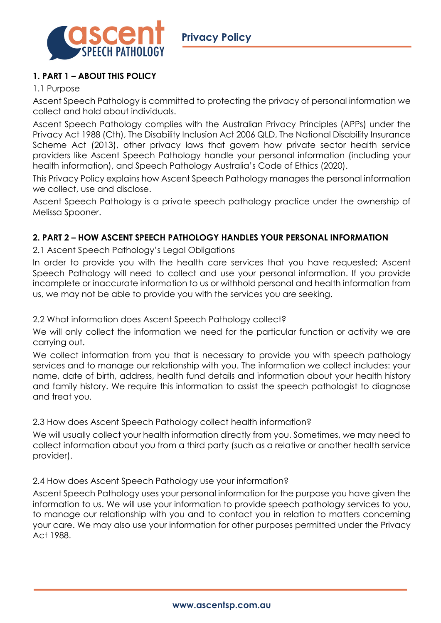

# **1. PART 1 – ABOUT THIS POLICY**

# 1.1 Purpose

Ascent Speech Pathology is committed to protecting the privacy of personal information we collect and hold about individuals.

Ascent Speech Pathology complies with the Australian Privacy Principles (APPs) under the Privacy Act 1988 (Cth), The Disability Inclusion Act 2006 QLD, The National Disability Insurance Scheme Act (2013), other privacy laws that govern how private sector health service providers like Ascent Speech Pathology handle your personal information (including your health information), and Speech Pathology Australia's Code of Ethics (2020).

This Privacy Policy explains how Ascent Speech Pathology manages the personal information we collect, use and disclose.

Ascent Speech Pathology is a private speech pathology practice under the ownership of Melissa Spooner.

# **2. PART 2 – HOW ASCENT SPEECH PATHOLOGY HANDLES YOUR PERSONAL INFORMATION**

2.1 Ascent Speech Pathology's Legal Obligations

In order to provide you with the health care services that you have requested; Ascent Speech Pathology will need to collect and use your personal information. If you provide incomplete or inaccurate information to us or withhold personal and health information from us, we may not be able to provide you with the services you are seeking.

# 2.2 What information does Ascent Speech Pathology collect?

We will only collect the information we need for the particular function or activity we are carrying out.

We collect information from you that is necessary to provide you with speech pathology services and to manage our relationship with you. The information we collect includes: your name, date of birth, address, health fund details and information about your health history and family history. We require this information to assist the speech pathologist to diagnose and treat you.

# 2.3 How does Ascent Speech Pathology collect health information?

We will usually collect your health information directly from you. Sometimes, we may need to collect information about you from a third party (such as a relative or another health service provider).

# 2.4 How does Ascent Speech Pathology use your information?

Ascent Speech Pathology uses your personal information for the purpose you have given the information to us. We will use your information to provide speech pathology services to you, to manage our relationship with you and to contact you in relation to matters concerning your care. We may also use your information for other purposes permitted under the Privacy Act 1988.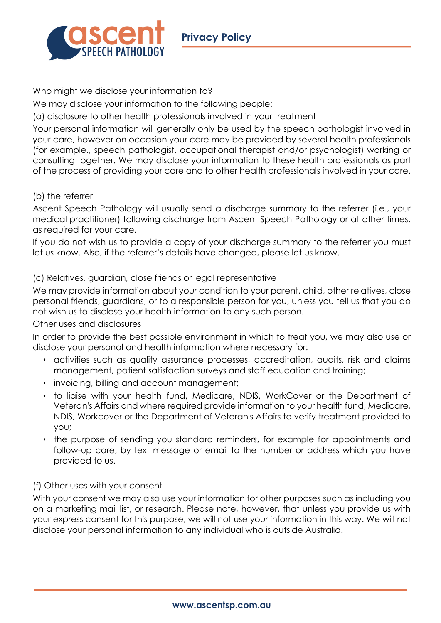

Who might we disclose your information to?

We may disclose your information to the following people:

(a) disclosure to other health professionals involved in your treatment

Your personal information will generally only be used by the speech pathologist involved in your care, however on occasion your care may be provided by several health professionals (for example., speech pathologist, occupational therapist and/or psychologist) working or consulting together. We may disclose your information to these health professionals as part of the process of providing your care and to other health professionals involved in your care.

## (b) the referrer

Ascent Speech Pathology will usually send a discharge summary to the referrer (i.e., your medical practitioner) following discharge from Ascent Speech Pathology or at other times, as required for your care.

If you do not wish us to provide a copy of your discharge summary to the referrer you must let us know. Also, if the referrer's details have changed, please let us know.

## (c) Relatives, guardian, close friends or legal representative

We may provide information about your condition to your parent, child, other relatives, close personal friends, guardians, or to a responsible person for you, unless you tell us that you do not wish us to disclose your health information to any such person.

#### Other uses and disclosures

In order to provide the best possible environment in which to treat you, we may also use or disclose your personal and health information where necessary for:

- activities such as quality assurance processes, accreditation, audits, risk and claims management, patient satisfaction surveys and staff education and training;
- invoicing, billing and account management;
- to liaise with your health fund, Medicare, NDIS, WorkCover or the Department of Veteran's Affairs and where required provide information to your health fund, Medicare, NDIS, Workcover or the Department of Veteran's Affairs to verify treatment provided to you;
- the purpose of sending you standard reminders, for example for appointments and follow-up care, by text message or email to the number or address which you have provided to us.

#### (f) Other uses with your consent

With your consent we may also use your information for other purposes such as including you on a marketing mail list, or research. Please note, however, that unless you provide us with your express consent for this purpose, we will not use your information in this way. We will not disclose your personal information to any individual who is outside Australia.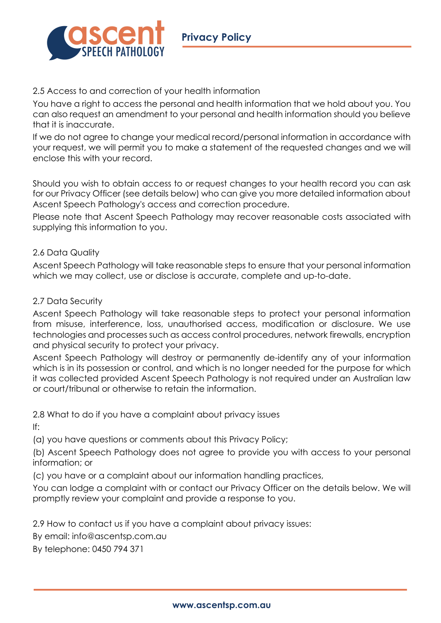

## 2.5 Access to and correction of your health information

You have a right to access the personal and health information that we hold about you. You can also request an amendment to your personal and health information should you believe that it is inaccurate.

If we do not agree to change your medical record/personal information in accordance with your request, we will permit you to make a statement of the requested changes and we will enclose this with your record.

Should you wish to obtain access to or request changes to your health record you can ask for our Privacy Officer (see details below) who can give you more detailed information about Ascent Speech Pathology's access and correction procedure.

Please note that Ascent Speech Pathology may recover reasonable costs associated with supplying this information to you.

## 2.6 Data Quality

Ascent Speech Pathology will take reasonable steps to ensure that your personal information which we may collect, use or disclose is accurate, complete and up-to-date.

## 2.7 Data Security

Ascent Speech Pathology will take reasonable steps to protect your personal information from misuse, interference, loss, unauthorised access, modification or disclosure. We use technologies and processes such as access control procedures, network firewalls, encryption and physical security to protect your privacy.

Ascent Speech Pathology will destroy or permanently de-identify any of your information which is in its possession or control, and which is no longer needed for the purpose for which it was collected provided Ascent Speech Pathology is not required under an Australian law or court/tribunal or otherwise to retain the information.

2.8 What to do if you have a complaint about privacy issues

If:

(a) you have questions or comments about this Privacy Policy;

(b) Ascent Speech Pathology does not agree to provide you with access to your personal information; or

(c) you have or a complaint about our information handling practices,

You can lodge a complaint with or contact our Privacy Officer on the details below. We will promptly review your complaint and provide a response to you.

2.9 How to contact us if you have a complaint about privacy issues:

By email: info@ascentsp.com.au

By telephone: 0450 794 371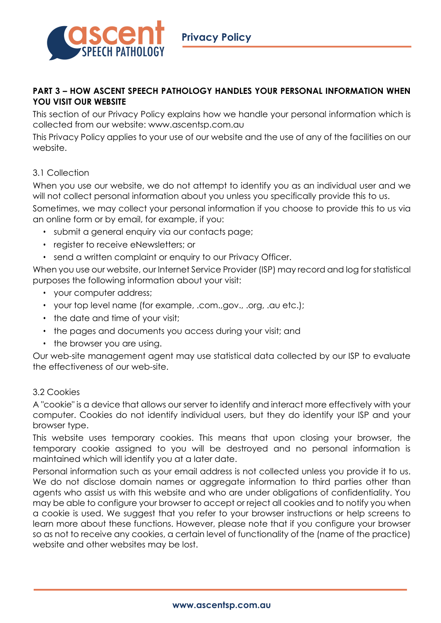

## **PART 3 – HOW ASCENT SPEECH PATHOLOGY HANDLES YOUR PERSONAL INFORMATION WHEN YOU VISIT OUR WEBSITE**

This section of our Privacy Policy explains how we handle your personal information which is collected from our website: www.ascentsp.com.au

This Privacy Policy applies to your use of our website and the use of any of the facilities on our website.

# 3.1 Collection

When you use our website, we do not attempt to identify you as an individual user and we will not collect personal information about you unless you specifically provide this to us.

Sometimes, we may collect your personal information if you choose to provide this to us via an online form or by email, for example, if you:

- submit a general enquiry via our contacts page;
- register to receive eNewsletters; or
- send a written complaint or enquiry to our Privacy Officer.

When you use our website, our Internet Service Provider (ISP) may record and log for statistical purposes the following information about your visit:

- your computer address;
- your top level name (for example, .com.,gov., .org, .au etc.);
- the date and time of your visit;
- the pages and documents you access during your visit; and
- the browser you are using.

Our web-site management agent may use statistical data collected by our ISP to evaluate the effectiveness of our web-site.

#### 3.2 Cookies

A "cookie" is a device that allows our server to identify and interact more effectively with your computer. Cookies do not identify individual users, but they do identify your ISP and your browser type.

This website uses temporary cookies. This means that upon closing your browser, the temporary cookie assigned to you will be destroyed and no personal information is maintained which will identify you at a later date.

Personal information such as your email address is not collected unless you provide it to us. We do not disclose domain names or aggregate information to third parties other than agents who assist us with this website and who are under obligations of confidentiality. You may be able to configure your browser to accept or reject all cookies and to notify you when a cookie is used. We suggest that you refer to your browser instructions or help screens to learn more about these functions. However, please note that if you configure your browser so as not to receive any cookies, a certain level of functionality of the (name of the practice) website and other websites may be lost.